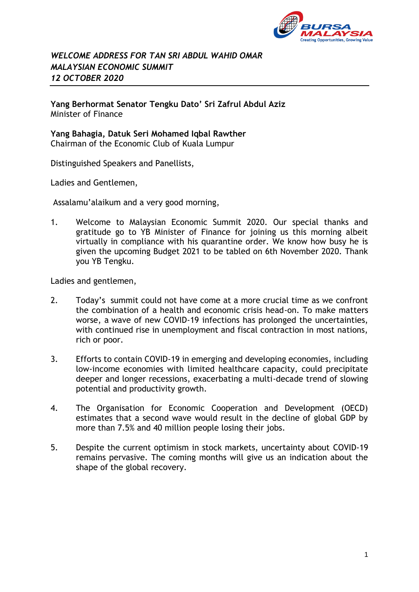

## *WELCOME ADDRESS FOR TAN SRI ABDUL WAHID OMAR MALAYSIAN ECONOMIC SUMMIT 12 OCTOBER 2020*

**Yang Berhormat Senator Tengku Dato' Sri Zafrul Abdul Aziz** Minister of Finance

**Yang Bahagia, Datuk Seri Mohamed Iqbal Rawther** Chairman of the Economic Club of Kuala Lumpur

Distinguished Speakers and Panellists,

Ladies and Gentlemen,

Assalamu'alaikum and a very good morning,

1. Welcome to Malaysian Economic Summit 2020. Our special thanks and gratitude go to YB Minister of Finance for joining us this morning albeit virtually in compliance with his quarantine order. We know how busy he is given the upcoming Budget 2021 to be tabled on 6th November 2020. Thank you YB Tengku.

Ladies and gentlemen,

- 2. Today's summit could not have come at a more crucial time as we confront the combination of a health and economic crisis head-on. To make matters worse, a wave of new COVID-19 infections has prolonged the uncertainties, with continued rise in unemployment and fiscal contraction in most nations, rich or poor.
- 3. Efforts to contain COVID-19 in emerging and developing economies, including low-income economies with limited healthcare capacity, could precipitate deeper and longer recessions, exacerbating a multi-decade trend of slowing potential and productivity growth.
- 4. The Organisation for Economic Cooperation and Development (OECD) estimates that a second wave would result in the decline of global GDP by more than 7.5% and 40 million people losing their jobs.
- 5. Despite the current optimism in stock markets, uncertainty about COVID-19 remains pervasive. The coming months will give us an indication about the shape of the global recovery.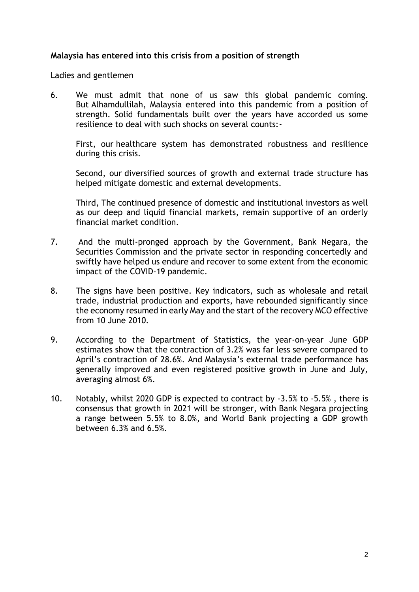## **Malaysia has entered into this crisis from a position of strength**

Ladies and gentlemen

6. We must admit that none of us saw this global pandemic coming. But Alhamdullilah, Malaysia entered into this pandemic from a position of strength. Solid fundamentals built over the years have accorded us some resilience to deal with such shocks on several counts:-

First, our healthcare system has demonstrated robustness and resilience during this crisis.

Second, our diversified sources of growth and external trade structure has helped mitigate domestic and external developments.

Third, The continued presence of domestic and institutional investors as well as our deep and liquid financial markets, remain supportive of an orderly financial market condition.

- 7. And the multi-pronged approach by the Government, Bank Negara, the Securities Commission and the private sector in responding concertedly and swiftly have helped us endure and recover to some extent from the economic impact of the COVID-19 pandemic.
- 8. The signs have been positive. Key indicators, such as wholesale and retail trade, industrial production and exports, have rebounded significantly since the economy resumed in early May and the start of the recovery MCO effective from 10 June 2010.
- 9. According to the Department of Statistics, the year-on-year June GDP estimates show that the contraction of 3.2% was far less severe compared to April's contraction of 28.6%. And Malaysia's external trade performance has generally improved and even registered positive growth in June and July, averaging almost 6%.
- 10. Notably, whilst 2020 GDP is expected to contract by -3.5% to -5.5% , there is consensus that growth in 2021 will be stronger, with Bank Negara projecting a range between 5.5% to 8.0%, and World Bank projecting a GDP growth between 6.3% and 6.5%.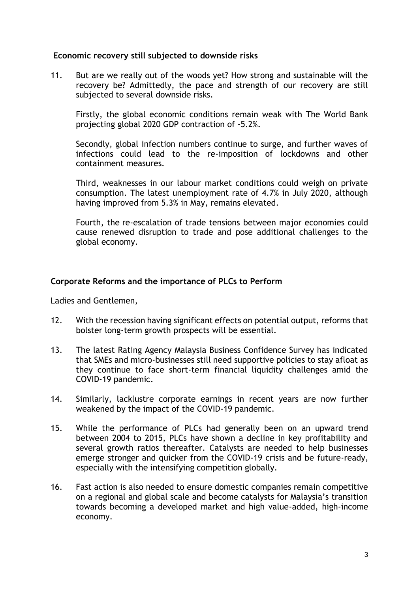## **Economic recovery still subjected to downside risks**

11. But are we really out of the woods yet? How strong and sustainable will the recovery be? Admittedly, the pace and strength of our recovery are still subjected to several downside risks.

Firstly, the global economic conditions remain weak with The World Bank projecting global 2020 GDP contraction of -5.2%.

Secondly, global infection numbers continue to surge, and further waves of infections could lead to the re-imposition of lockdowns and other containment measures.

Third, weaknesses in our labour market conditions could weigh on private consumption. The latest unemployment rate of 4.7% in July 2020, although having improved from 5.3% in May, remains elevated.

Fourth, the re-escalation of trade tensions between major economies could cause renewed disruption to trade and pose additional challenges to the global economy.

## **Corporate Reforms and the importance of PLCs to Perform**

Ladies and Gentlemen,

- 12. With the recession having significant effects on potential output, reforms that bolster long-term growth prospects will be essential.
- 13. The latest Rating Agency Malaysia Business Confidence Survey has indicated that SMEs and micro-businesses still need supportive policies to stay afloat as they continue to face short-term financial liquidity challenges amid the COVID-19 pandemic.
- 14. Similarly, lacklustre corporate earnings in recent years are now further weakened by the impact of the COVID-19 pandemic.
- 15. While the performance of PLCs had generally been on an upward trend between 2004 to 2015, PLCs have shown a decline in key profitability and several growth ratios thereafter. Catalysts are needed to help businesses emerge stronger and quicker from the COVID-19 crisis and be future-ready, especially with the intensifying competition globally.
- 16. Fast action is also needed to ensure domestic companies remain competitive on a regional and global scale and become catalysts for Malaysia's transition towards becoming a developed market and high value-added, high-income economy.